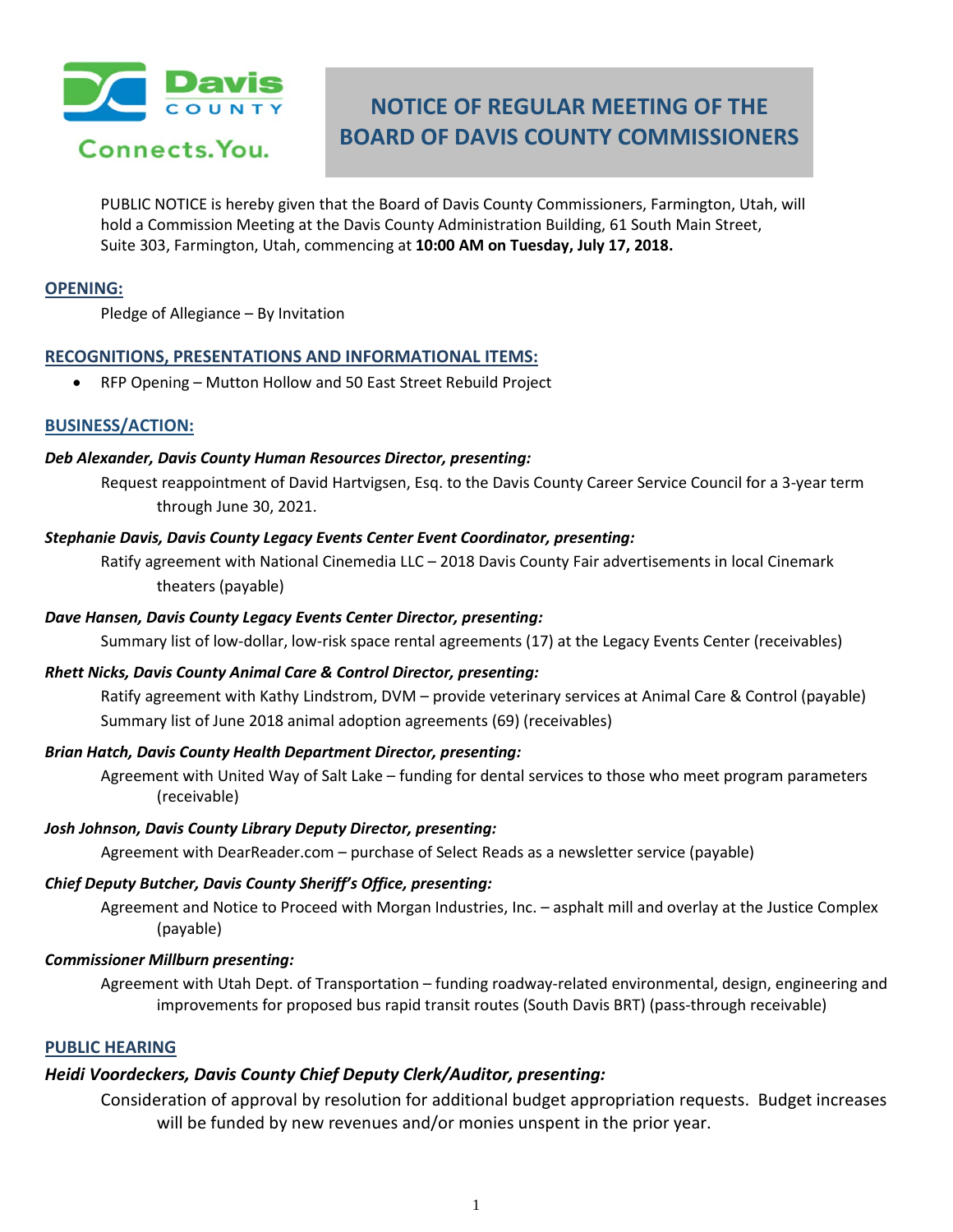

# **NOTICE OF REGULAR MEETING OF THE BOARD OF DAVIS COUNTY COMMISSIONERS**

PUBLIC NOTICE is hereby given that the Board of Davis County Commissioners, Farmington, Utah, will hold a Commission Meeting at the Davis County Administration Building, 61 South Main Street, Suite 303, Farmington, Utah, commencing at **10:00 AM on Tuesday, July 17, 2018.**

### **OPENING:**

Pledge of Allegiance – By Invitation

# **RECOGNITIONS, PRESENTATIONS AND INFORMATIONAL ITEMS:**

• RFP Opening – Mutton Hollow and 50 East Street Rebuild Project

### **BUSINESS/ACTION:**

### *Deb Alexander, Davis County Human Resources Director, presenting:*

Request reappointment of David Hartvigsen, Esq. to the Davis County Career Service Council for a 3-year term through June 30, 2021.

#### *Stephanie Davis, Davis County Legacy Events Center Event Coordinator, presenting:*

Ratify agreement with National Cinemedia LLC – 2018 Davis County Fair advertisements in local Cinemark theaters (payable)

### *Dave Hansen, Davis County Legacy Events Center Director, presenting:*

Summary list of low-dollar, low-risk space rental agreements (17) at the Legacy Events Center (receivables)

### *Rhett Nicks, Davis County Animal Care & Control Director, presenting:*

Ratify agreement with Kathy Lindstrom, DVM – provide veterinary services at Animal Care & Control (payable) Summary list of June 2018 animal adoption agreements (69) (receivables)

### *Brian Hatch, Davis County Health Department Director, presenting:*

Agreement with United Way of Salt Lake – funding for dental services to those who meet program parameters (receivable)

### *Josh Johnson, Davis County Library Deputy Director, presenting:*

Agreement with DearReader.com – purchase of Select Reads as a newsletter service (payable)

### *Chief Deputy Butcher, Davis County Sheriff's Office, presenting:*

Agreement and Notice to Proceed with Morgan Industries, Inc. – asphalt mill and overlay at the Justice Complex (payable)

## *Commissioner Millburn presenting:*

Agreement with Utah Dept. of Transportation – funding roadway-related environmental, design, engineering and improvements for proposed bus rapid transit routes (South Davis BRT) (pass-through receivable)

### **PUBLIC HEARING**

### *Heidi Voordeckers, Davis County Chief Deputy Clerk/Auditor, presenting:*

Consideration of approval by resolution for additional budget appropriation requests. Budget increases will be funded by new revenues and/or monies unspent in the prior year.